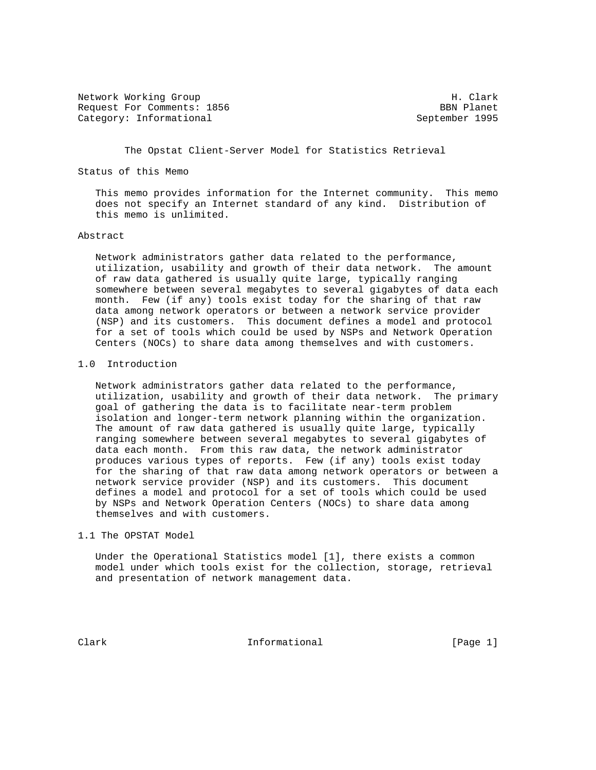Network Working Group Network Morking Group H. Clark Request For Comments: 1856 BBN Planet Category: Informational September 1995

The Opstat Client-Server Model for Statistics Retrieval

Status of this Memo

 This memo provides information for the Internet community. This memo does not specify an Internet standard of any kind. Distribution of this memo is unlimited.

### Abstract

 Network administrators gather data related to the performance, utilization, usability and growth of their data network. The amount of raw data gathered is usually quite large, typically ranging somewhere between several megabytes to several gigabytes of data each month. Few (if any) tools exist today for the sharing of that raw data among network operators or between a network service provider (NSP) and its customers. This document defines a model and protocol for a set of tools which could be used by NSPs and Network Operation Centers (NOCs) to share data among themselves and with customers.

#### 1.0 Introduction

 Network administrators gather data related to the performance, utilization, usability and growth of their data network. The primary goal of gathering the data is to facilitate near-term problem isolation and longer-term network planning within the organization. The amount of raw data gathered is usually quite large, typically ranging somewhere between several megabytes to several gigabytes of data each month. From this raw data, the network administrator produces various types of reports. Few (if any) tools exist today for the sharing of that raw data among network operators or between a network service provider (NSP) and its customers. This document defines a model and protocol for a set of tools which could be used by NSPs and Network Operation Centers (NOCs) to share data among themselves and with customers.

## 1.1 The OPSTAT Model

 Under the Operational Statistics model [1], there exists a common model under which tools exist for the collection, storage, retrieval and presentation of network management data.

Clark **Informational** Informational [Page 1]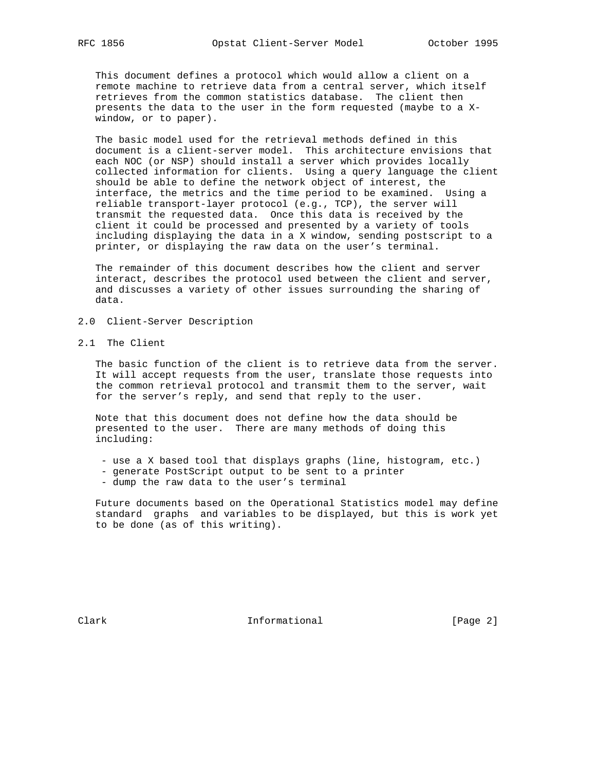This document defines a protocol which would allow a client on a remote machine to retrieve data from a central server, which itself retrieves from the common statistics database. The client then presents the data to the user in the form requested (maybe to a X window, or to paper).

 The basic model used for the retrieval methods defined in this document is a client-server model. This architecture envisions that each NOC (or NSP) should install a server which provides locally collected information for clients. Using a query language the client should be able to define the network object of interest, the interface, the metrics and the time period to be examined. Using a reliable transport-layer protocol (e.g., TCP), the server will transmit the requested data. Once this data is received by the client it could be processed and presented by a variety of tools including displaying the data in a X window, sending postscript to a printer, or displaying the raw data on the user's terminal.

 The remainder of this document describes how the client and server interact, describes the protocol used between the client and server, and discusses a variety of other issues surrounding the sharing of data.

- 2.0 Client-Server Description
- 2.1 The Client

 The basic function of the client is to retrieve data from the server. It will accept requests from the user, translate those requests into the common retrieval protocol and transmit them to the server, wait for the server's reply, and send that reply to the user.

 Note that this document does not define how the data should be presented to the user. There are many methods of doing this including:

- use a X based tool that displays graphs (line, histogram, etc.)
- generate PostScript output to be sent to a printer
- dump the raw data to the user's terminal

 Future documents based on the Operational Statistics model may define standard graphs and variables to be displayed, but this is work yet to be done (as of this writing).

Clark **Informational** Informational [Page 2]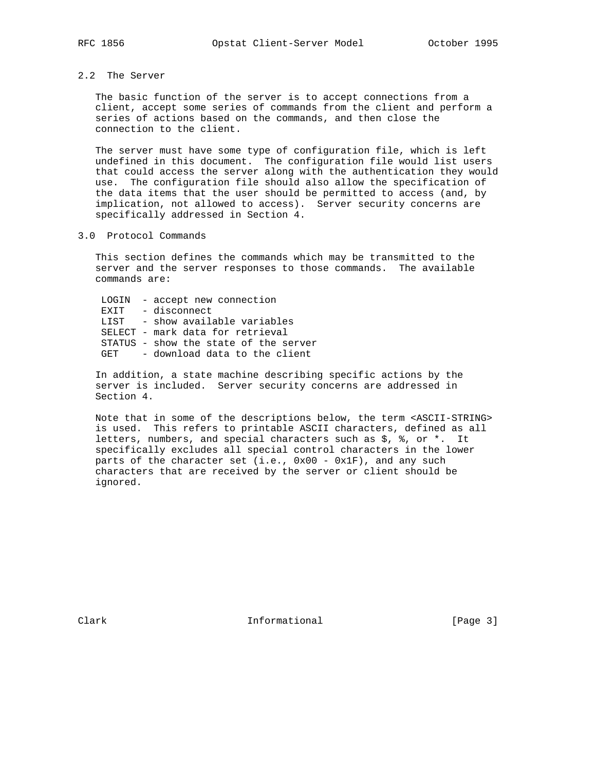# 2.2 The Server

 The basic function of the server is to accept connections from a client, accept some series of commands from the client and perform a series of actions based on the commands, and then close the connection to the client.

 The server must have some type of configuration file, which is left undefined in this document. The configuration file would list users that could access the server along with the authentication they would use. The configuration file should also allow the specification of the data items that the user should be permitted to access (and, by implication, not allowed to access). Server security concerns are specifically addressed in Section 4.

### 3.0 Protocol Commands

 This section defines the commands which may be transmitted to the server and the server responses to those commands. The available commands are:

 LOGIN - accept new connection EXIT - disconnect LIST - show available variables SELECT - mark data for retrieval STATUS - show the state of the server GET - download data to the client

 In addition, a state machine describing specific actions by the server is included. Server security concerns are addressed in Section 4.

 Note that in some of the descriptions below, the term <ASCII-STRING> is used. This refers to printable ASCII characters, defined as all letters, numbers, and special characters such as \$, %, or \*. It specifically excludes all special control characters in the lower parts of the character set (i.e., 0x00 - 0x1F), and any such characters that are received by the server or client should be ignored.

Clark **Informational** Informational [Page 3]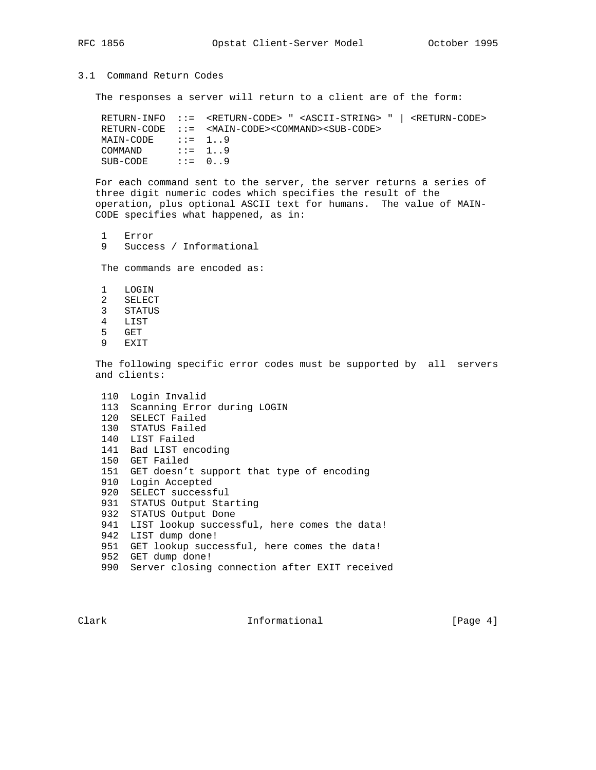# 3.1 Command Return Codes

The responses a server will return to a client are of the form:

 RETURN-INFO ::= <RETURN-CODE> " <ASCII-STRING> " | <RETURN-CODE> RETURN-CODE ::= <MAIN-CODE><COMMAND><SUB-CODE>  $MAIN-CODE$  ::= 1..9 COMMAND  $\qquad ::= 1..9$  $SUB-CODE$  ::=  $0..9$ 

 For each command sent to the server, the server returns a series of three digit numeric codes which specifies the result of the operation, plus optional ASCII text for humans. The value of MAIN- CODE specifies what happened, as in:

 1 Error 9 Success / Informational

The commands are encoded as:

- 1 LOGIN 2 SELECT 3 STATUS 4 LIST
- 5 GET
- 
- 9 EXIT

 The following specific error codes must be supported by all servers and clients:

```
 110 Login Invalid
 113 Scanning Error during LOGIN
 120 SELECT Failed
 130 STATUS Failed
 140 LIST Failed
 141 Bad LIST encoding
 150 GET Failed
 151 GET doesn't support that type of encoding
 910 Login Accepted
 920 SELECT successful
 931 STATUS Output Starting
 932 STATUS Output Done
 941 LIST lookup successful, here comes the data!
 942 LIST dump done!
 951 GET lookup successful, here comes the data!
 952 GET dump done!
 990 Server closing connection after EXIT received
```
Clark **Informational** Informational [Page 4]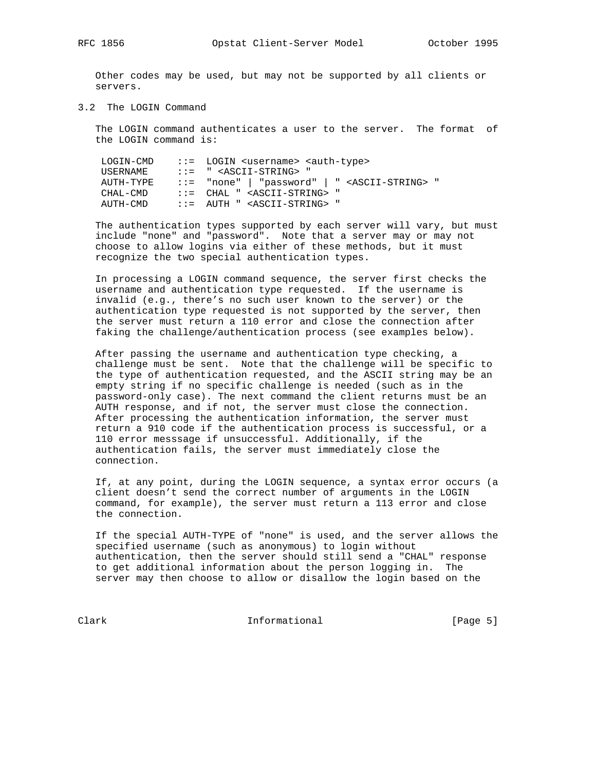Other codes may be used, but may not be supported by all clients or servers.

3.2 The LOGIN Command

 The LOGIN command authenticates a user to the server. The format of the LOGIN command is:

| LOGIN-CMD | $\cdots$ LOGIN <username> <auth-type></auth-type></username>  |
|-----------|---------------------------------------------------------------|
| USERNAME  | $\cdot \cdot =$ " <ascii-string> "</ascii-string>             |
| AUTH-TYPE | $::=$ "none"   "password"   " <ascii-string> "</ascii-string> |
| CHAL-CMD  | $\cdot \cdot =$ CHAL " <ascii-string> "</ascii-string>        |
| AUTH-CMD  | $\therefore$ = AUTH " <ascii-string> "</ascii-string>         |

 The authentication types supported by each server will vary, but must include "none" and "password". Note that a server may or may not choose to allow logins via either of these methods, but it must recognize the two special authentication types.

 In processing a LOGIN command sequence, the server first checks the username and authentication type requested. If the username is invalid (e.g., there's no such user known to the server) or the authentication type requested is not supported by the server, then the server must return a 110 error and close the connection after faking the challenge/authentication process (see examples below).

 After passing the username and authentication type checking, a challenge must be sent. Note that the challenge will be specific to the type of authentication requested, and the ASCII string may be an empty string if no specific challenge is needed (such as in the password-only case). The next command the client returns must be an AUTH response, and if not, the server must close the connection. After processing the authentication information, the server must return a 910 code if the authentication process is successful, or a 110 error messsage if unsuccessful. Additionally, if the authentication fails, the server must immediately close the connection.

 If, at any point, during the LOGIN sequence, a syntax error occurs (a client doesn't send the correct number of arguments in the LOGIN command, for example), the server must return a 113 error and close the connection.

 If the special AUTH-TYPE of "none" is used, and the server allows the specified username (such as anonymous) to login without authentication, then the server should still send a "CHAL" response to get additional information about the person logging in. The server may then choose to allow or disallow the login based on the

Clark Informational [Page 5]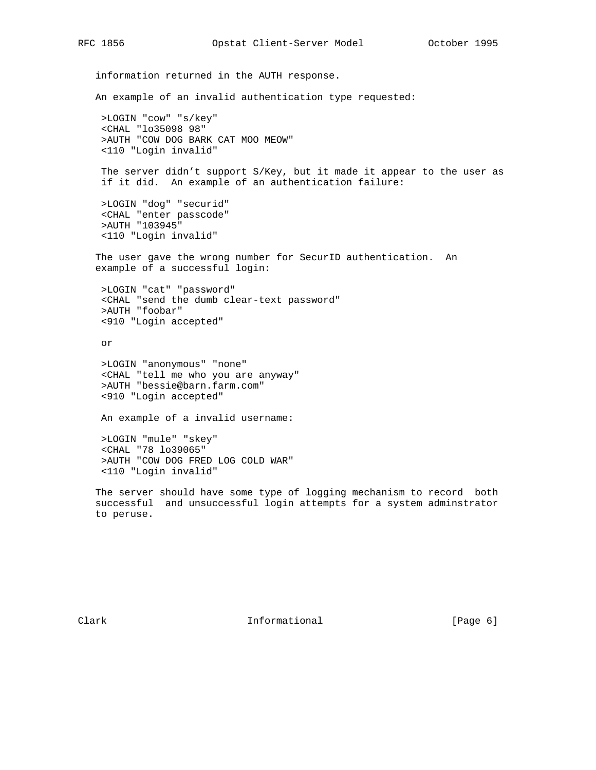information returned in the AUTH response. An example of an invalid authentication type requested: >LOGIN "cow" "s/key" <CHAL "lo35098 98" >AUTH "COW DOG BARK CAT MOO MEOW" <110 "Login invalid" The server didn't support S/Key, but it made it appear to the user as if it did. An example of an authentication failure: >LOGIN "dog" "securid" <CHAL "enter passcode" >AUTH "103945" <110 "Login invalid" The user gave the wrong number for SecurID authentication. An example of a successful login: >LOGIN "cat" "password" <CHAL "send the dumb clear-text password" >AUTH "foobar" <910 "Login accepted" or >LOGIN "anonymous" "none" <CHAL "tell me who you are anyway" >AUTH "bessie@barn.farm.com" <910 "Login accepted" An example of a invalid username: >LOGIN "mule" "skey"

 <CHAL "78 lo39065" >AUTH "COW DOG FRED LOG COLD WAR" <110 "Login invalid"

 The server should have some type of logging mechanism to record both successful and unsuccessful login attempts for a system adminstrator to peruse.

Clark **Informational** Informational [Page 6]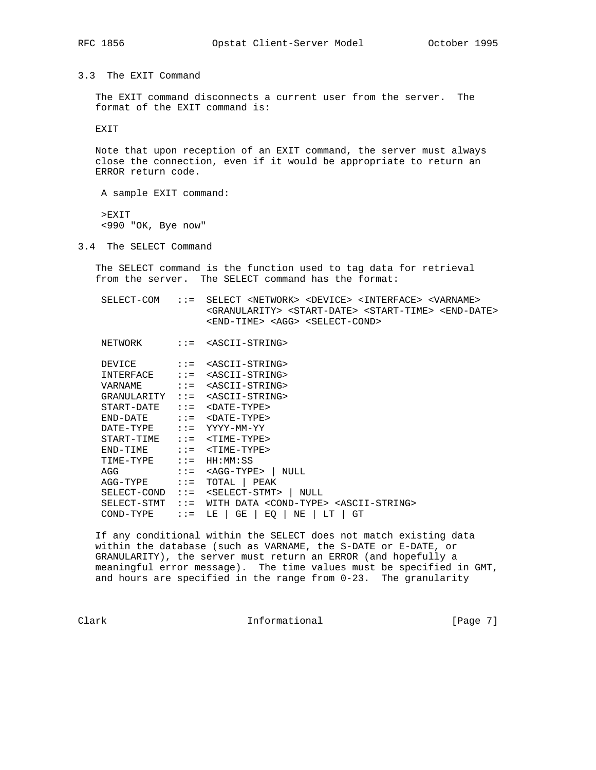3.3 The EXIT Command

 The EXIT command disconnects a current user from the server. The format of the EXIT command is:

EXIT

 Note that upon reception of an EXIT command, the server must always close the connection, even if it would be appropriate to return an ERROR return code.

A sample EXIT command:

 >EXIT <990 "OK, Bye now"

3.4 The SELECT Command

 The SELECT command is the function used to tag data for retrieval from the server. The SELECT command has the format:

 SELECT-COM ::= SELECT <NETWORK> <DEVICE> <INTERFACE> <VARNAME> <GRANULARITY> <START-DATE> <START-TIME> <END-DATE> <END-TIME> <AGG> <SELECT-COND>

NETWORK ::= <ASCII-STRING>

| DEVTCE.     | $: :=$  | <ascii-string></ascii-string>                                       |
|-------------|---------|---------------------------------------------------------------------|
| INTERFACE   | $: :=$  | <ascii-string></ascii-string>                                       |
| VARNAME     | $: :=$  | <ascii-string></ascii-string>                                       |
| GRANULARITY | $: :=$  | <ascii-string></ascii-string>                                       |
| START-DATE  | $: : =$ | $<$ DATE-TYPE>                                                      |
| FND-DATE    | $: : =$ | $<$ DATE-TYPE>                                                      |
| DATE-TYPE   | $: :=$  | YYYY-MM-YY                                                          |
| START-TIME  | $: : =$ | <time-type></time-type>                                             |
| FND-TIME    | $: : =$ | $<$ TIME-TYPE>                                                      |
| TIME-TYPE   | $: :=$  | HH:MM:SS                                                            |
| AGG         | $: :=$  | <agg-type><br/>NULL.</agg-type>                                     |
| AGG-TYPE    | $: :=$  | PEAK<br>TOTAL                                                       |
| SELECT-COND | $: :=$  | <select-stmt><br/>NULL.</select-stmt>                               |
| SELECT-STMT | $: :=$  | DATA <cond-type> <ascii-string><br/>WITH</ascii-string></cond-type> |
| COND-TYPE   | $: : =$ | GT<br>GΕ<br>EQ<br>ΝE<br>LT<br>LΕ                                    |
|             |         |                                                                     |

 If any conditional within the SELECT does not match existing data within the database (such as VARNAME, the S-DATE or E-DATE, or GRANULARITY), the server must return an ERROR (and hopefully a meaningful error message). The time values must be specified in GMT, and hours are specified in the range from 0-23. The granularity

Clark **Informational** Informational [Page 7]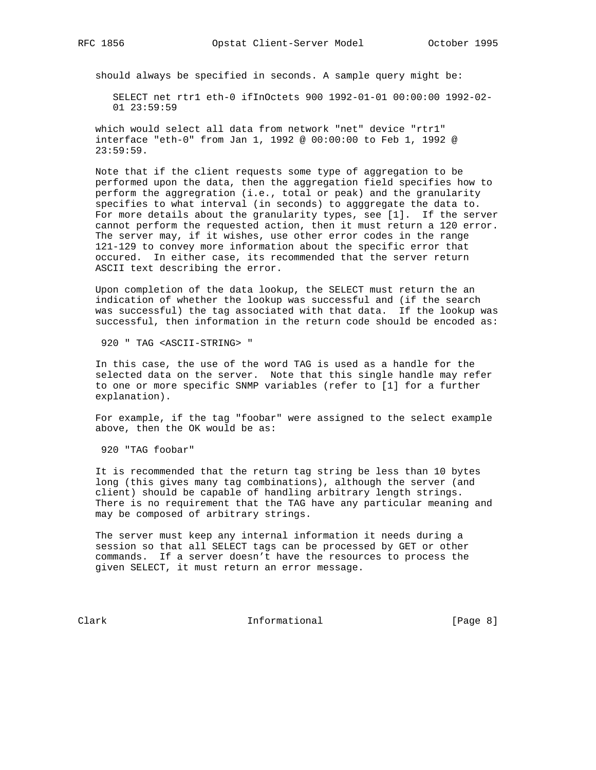should always be specified in seconds. A sample query might be:

 SELECT net rtr1 eth-0 ifInOctets 900 1992-01-01 00:00:00 1992-02- 01 23:59:59

 which would select all data from network "net" device "rtr1" interface "eth-0" from Jan 1, 1992 @ 00:00:00 to Feb 1, 1992 @ 23:59:59.

 Note that if the client requests some type of aggregation to be performed upon the data, then the aggregation field specifies how to perform the aggregration (i.e., total or peak) and the granularity specifies to what interval (in seconds) to agggregate the data to. For more details about the granularity types, see [1]. If the server cannot perform the requested action, then it must return a 120 error. The server may, if it wishes, use other error codes in the range 121-129 to convey more information about the specific error that occured. In either case, its recommended that the server return ASCII text describing the error.

 Upon completion of the data lookup, the SELECT must return the an indication of whether the lookup was successful and (if the search was successful) the tag associated with that data. If the lookup was successful, then information in the return code should be encoded as:

920 " TAG <ASCII-STRING> "

 In this case, the use of the word TAG is used as a handle for the selected data on the server. Note that this single handle may refer to one or more specific SNMP variables (refer to [1] for a further explanation).

 For example, if the tag "foobar" were assigned to the select example above, then the OK would be as:

920 "TAG foobar"

 It is recommended that the return tag string be less than 10 bytes long (this gives many tag combinations), although the server (and client) should be capable of handling arbitrary length strings. There is no requirement that the TAG have any particular meaning and may be composed of arbitrary strings.

 The server must keep any internal information it needs during a session so that all SELECT tags can be processed by GET or other commands. If a server doesn't have the resources to process the given SELECT, it must return an error message.

Clark Informational [Page 8]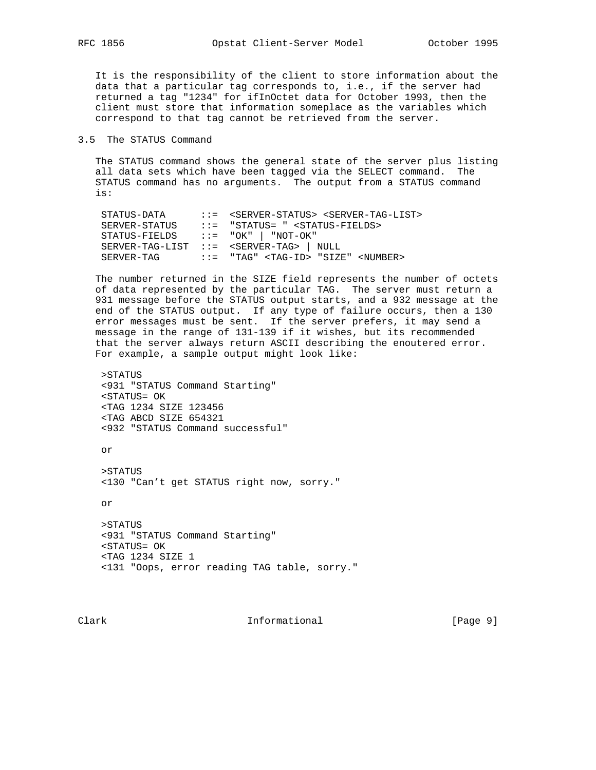It is the responsibility of the client to store information about the data that a particular tag corresponds to, i.e., if the server had returned a tag "1234" for ifInOctet data for October 1993, then the client must store that information someplace as the variables which correspond to that tag cannot be retrieved from the server.

3.5 The STATUS Command

 The STATUS command shows the general state of the server plus listing all data sets which have been tagged via the SELECT command. The STATUS command has no arguments. The output from a STATUS command is:

```
 STATUS-DATA ::= <SERVER-STATUS> <SERVER-TAG-LIST>
 SERVER-STATUS ::= "STATUS= " <STATUS-FIELDS>
 STATUS-FIELDS ::= "OK" | "NOT-OK"
 SERVER-TAG-LIST ::= <SERVER-TAG> | NULL
 SERVER-TAG ::= "TAG" <TAG-ID> "SIZE" <NUMBER>
```
 The number returned in the SIZE field represents the number of octets of data represented by the particular TAG. The server must return a 931 message before the STATUS output starts, and a 932 message at the end of the STATUS output. If any type of failure occurs, then a 130 error messages must be sent. If the server prefers, it may send a message in the range of 131-139 if it wishes, but its recommended that the server always return ASCII describing the enoutered error. For example, a sample output might look like:

```
 >STATUS
 <931 "STATUS Command Starting"
 <STATUS= OK
 <TAG 1234 SIZE 123456
 <TAG ABCD SIZE 654321
 <932 "STATUS Command successful"
```
or

 >STATUS <130 "Can't get STATUS right now, sorry."

or

```
 >STATUS
 <931 "STATUS Command Starting"
 <STATUS= OK
 <TAG 1234 SIZE 1
 <131 "Oops, error reading TAG table, sorry."
```
Clark Informational [Page 9]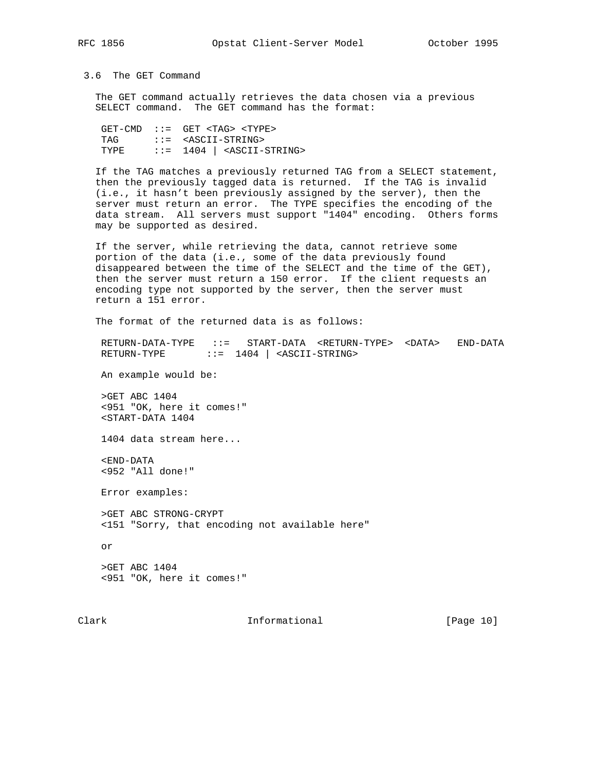3.6 The GET Command

 The GET command actually retrieves the data chosen via a previous SELECT command. The GET command has the format:

 $GET-CMD$  ::=  $GET$  <TAG> <TYPE> TAG ::= <ASCII-STRING> TYPE  $::= 1404$   $\sim$  ASCII-STRING>

 If the TAG matches a previously returned TAG from a SELECT statement, then the previously tagged data is returned. If the TAG is invalid (i.e., it hasn't been previously assigned by the server), then the server must return an error. The TYPE specifies the encoding of the data stream. All servers must support "1404" encoding. Others forms may be supported as desired.

 If the server, while retrieving the data, cannot retrieve some portion of the data (i.e., some of the data previously found disappeared between the time of the SELECT and the time of the GET), then the server must return a 150 error. If the client requests an encoding type not supported by the server, then the server must return a 151 error.

The format of the returned data is as follows:

 RETURN-DATA-TYPE ::= START-DATA <RETURN-TYPE> <DATA> END-DATA RETURN-TYPE ::= 1404 | <ASCII-STRING>

An example would be:

 >GET ABC 1404 <951 "OK, here it comes!" <START-DATA 1404

1404 data stream here...

 <END-DATA <952 "All done!"

Error examples:

 >GET ABC STRONG-CRYPT <151 "Sorry, that encoding not available here"

or

 >GET ABC 1404 <951 "OK, here it comes!"

Clark Informational [Page 10]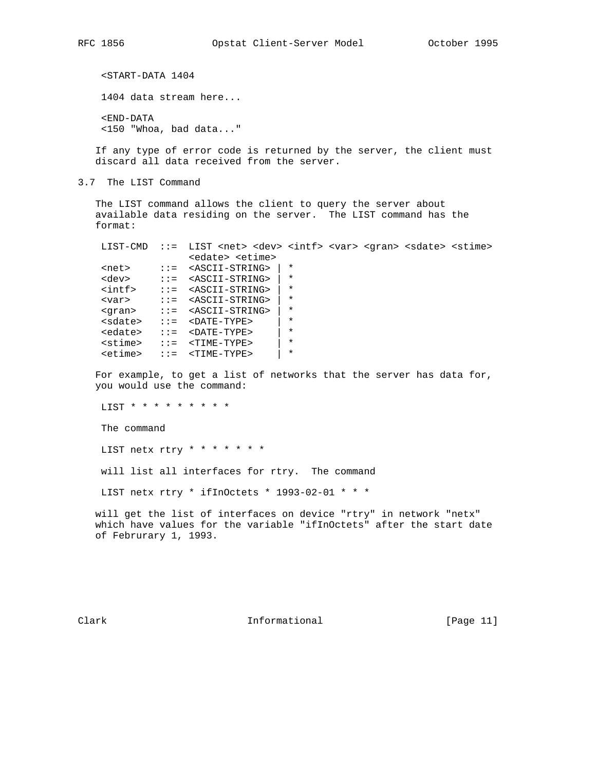<START-DATA 1404 1404 data stream here... <END-DATA

<150 "Whoa, bad data..."

 If any type of error code is returned by the server, the client must discard all data received from the server.

3.7 The LIST Command

 The LIST command allows the client to query the server about available data residing on the server. The LIST command has the format:

| <edate> <etime><br/><math>\star</math><br/><ascii-string><br/><math>net</math><br/><math>\mathbf{1} \mathbf{1} =</math><br/><math>\star</math><br/><dev><br/><math>\cdot:=-&lt;</math> ASCII-STRING&gt;<br/><math>\star</math><br/><math>\frac{\sin t}{\sin t}</math><br/><math>\mathbf{I} := \mathbf{S}\mathbf{A}\mathbf{S}\mathbf{C}\mathbf{I}\mathbf{I}-\mathbf{S}\mathbf{T}\mathbf{R}\mathbf{I}\mathbf{N}\mathbf{G}</math><br/><math>\star</math><br/><ascii-string><br/><math>\mathbf{1} \mathbf{1} = \mathbf{1}</math><br/><math>\langle \text{var} \rangle</math><br/><math>\star</math><br/><ascii-string><br/><math>\mathbf{1} \mathbf{1} = \mathbf{1}</math><br/><qran></qran></ascii-string></ascii-string></dev></ascii-string></etime></edate> |  |  |  |  | ::= LIST <net> <dev> <intf> <var> <qran> <sdate> <stime></stime></sdate></qran></var></intf></dev></net> |  |  |
|-------------------------------------------------------------------------------------------------------------------------------------------------------------------------------------------------------------------------------------------------------------------------------------------------------------------------------------------------------------------------------------------------------------------------------------------------------------------------------------------------------------------------------------------------------------------------------------------------------------------------------------------------------------------------------------------------------------------------------------------------------------|--|--|--|--|----------------------------------------------------------------------------------------------------------|--|--|
|                                                                                                                                                                                                                                                                                                                                                                                                                                                                                                                                                                                                                                                                                                                                                             |  |  |  |  |                                                                                                          |  |  |
|                                                                                                                                                                                                                                                                                                                                                                                                                                                                                                                                                                                                                                                                                                                                                             |  |  |  |  |                                                                                                          |  |  |
|                                                                                                                                                                                                                                                                                                                                                                                                                                                                                                                                                                                                                                                                                                                                                             |  |  |  |  |                                                                                                          |  |  |
|                                                                                                                                                                                                                                                                                                                                                                                                                                                                                                                                                                                                                                                                                                                                                             |  |  |  |  |                                                                                                          |  |  |
|                                                                                                                                                                                                                                                                                                                                                                                                                                                                                                                                                                                                                                                                                                                                                             |  |  |  |  |                                                                                                          |  |  |
|                                                                                                                                                                                                                                                                                                                                                                                                                                                                                                                                                                                                                                                                                                                                                             |  |  |  |  |                                                                                                          |  |  |
| $\star$<br><sdate><br/><math>&lt;</math>DATE-TYPE&gt;<br/><math>\mathbf{1} \mathbf{1} =</math></sdate>                                                                                                                                                                                                                                                                                                                                                                                                                                                                                                                                                                                                                                                      |  |  |  |  |                                                                                                          |  |  |
| $\star$<br><edate><br/><math>&lt;</math>DATE-TYPE&gt;<br/><math>\mathbf{1} \mathbf{1} =</math></edate>                                                                                                                                                                                                                                                                                                                                                                                                                                                                                                                                                                                                                                                      |  |  |  |  |                                                                                                          |  |  |
| $\star$<br><stime><br/><math>&lt;</math>TIME-TYPE&gt;<br/><math>\mathbf{1} \mathbf{1} =</math></stime>                                                                                                                                                                                                                                                                                                                                                                                                                                                                                                                                                                                                                                                      |  |  |  |  |                                                                                                          |  |  |
| $\star$<br><etime><br/><math>\mathbf{1} \mathbf{1} =</math><br/><time-type></time-type></etime>                                                                                                                                                                                                                                                                                                                                                                                                                                                                                                                                                                                                                                                             |  |  |  |  |                                                                                                          |  |  |

 For example, to get a list of networks that the server has data for, you would use the command:

LIST \* \* \* \* \* \* \* \* \*

The command

LIST netx rtry \* \* \* \* \* \* \*

will list all interfaces for rtry. The command

LIST netx rtry \* ifInOctets \* 1993-02-01 \* \* \*

 will get the list of interfaces on device "rtry" in network "netx" which have values for the variable "ifInOctets" after the start date of Februrary 1, 1993.

Clark **Informational** [Page 11]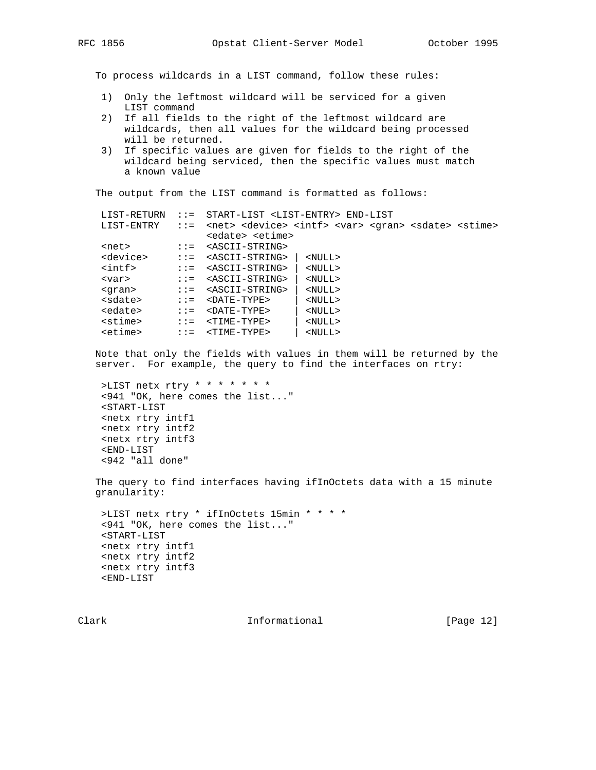To process wildcards in a LIST command, follow these rules:

- 1) Only the leftmost wildcard will be serviced for a given LIST command
- 2) If all fields to the right of the leftmost wildcard are wildcards, then all values for the wildcard being processed will be returned.
- 3) If specific values are given for fields to the right of the wildcard being serviced, then the specific values must match a known value

The output from the LIST command is formatted as follows:

| <net> <device> <intf> <var> <gran> <sdate> <stime><br/>LIST-ENTRY<br/><math>\mathbf{1} \mathbf{1} =</math><br/><edate> <etime><br/><ascii-string><br/><math>net</math><br/><math>\mathbf{1} \mathbf{1} =</math><br/><device><br/><ascii-string><br/><math>\mathbf{1} \mathbf{1} =</math><br/><math>&lt;</math>NULL<math>&gt;</math><br/><math>\frac{\sin t}{\sin t}</math><br/><ascii-string><br/><math>&lt;</math>NULL<math>&gt;</math><br/><math>\mathbf{1} \mathbf{1} = \mathbf{1}</math><br/><ascii-string><br/><math>&lt;</math>NULL<math>&gt;</math><br/><math>\mathbf{1} \mathbf{1} =</math><br/><math>&lt;</math>var<math>&gt;</math><br/><ascii-string><br/><math>&lt;</math>NULL<math>&gt;</math><br/><math>\mathbf{1} \mathbf{1} = \mathbf{1}</math><br/><qran><br/><sdate><br/><math>&lt;</math>DATE-TYPE&gt;<br/><math>&lt;</math>NULL<math>&gt;</math><br/><math>\mathbf{1} \mathbf{1} =</math><br/><edate><br/><math>&lt;</math>NULL<math>&gt;</math><br/><math>&lt;</math>DATE-TYPE&gt;<br/><math>: :=</math><br/><stime><br/><time-type><br/><math>&lt;</math>NULL<math>&gt;</math><br/><math>\mathbf{1} \mathbf{1} =</math><br/><etime><br/><math>&lt;</math>NULL<math>&gt;</math><br/><time-type><br/><math>\mathbf{1} \mathbf{1} =</math></time-type></etime></time-type></stime></edate></sdate></qran></ascii-string></ascii-string></ascii-string></ascii-string></device></ascii-string></etime></edate></stime></sdate></gran></var></intf></device></net> | LIST-RETURN | $\mathbf{1} \mathbf{1} = 1$ | START-LIST <list-entry> END-LIST</list-entry> |  |  |  |  |  |  |
|-------------------------------------------------------------------------------------------------------------------------------------------------------------------------------------------------------------------------------------------------------------------------------------------------------------------------------------------------------------------------------------------------------------------------------------------------------------------------------------------------------------------------------------------------------------------------------------------------------------------------------------------------------------------------------------------------------------------------------------------------------------------------------------------------------------------------------------------------------------------------------------------------------------------------------------------------------------------------------------------------------------------------------------------------------------------------------------------------------------------------------------------------------------------------------------------------------------------------------------------------------------------------------------------------------------------------------------------------------------------------------------------------------------------------------------------------------------------------------------|-------------|-----------------------------|-----------------------------------------------|--|--|--|--|--|--|
|                                                                                                                                                                                                                                                                                                                                                                                                                                                                                                                                                                                                                                                                                                                                                                                                                                                                                                                                                                                                                                                                                                                                                                                                                                                                                                                                                                                                                                                                                     |             |                             |                                               |  |  |  |  |  |  |
|                                                                                                                                                                                                                                                                                                                                                                                                                                                                                                                                                                                                                                                                                                                                                                                                                                                                                                                                                                                                                                                                                                                                                                                                                                                                                                                                                                                                                                                                                     |             |                             |                                               |  |  |  |  |  |  |
|                                                                                                                                                                                                                                                                                                                                                                                                                                                                                                                                                                                                                                                                                                                                                                                                                                                                                                                                                                                                                                                                                                                                                                                                                                                                                                                                                                                                                                                                                     |             |                             |                                               |  |  |  |  |  |  |
|                                                                                                                                                                                                                                                                                                                                                                                                                                                                                                                                                                                                                                                                                                                                                                                                                                                                                                                                                                                                                                                                                                                                                                                                                                                                                                                                                                                                                                                                                     |             |                             |                                               |  |  |  |  |  |  |
|                                                                                                                                                                                                                                                                                                                                                                                                                                                                                                                                                                                                                                                                                                                                                                                                                                                                                                                                                                                                                                                                                                                                                                                                                                                                                                                                                                                                                                                                                     |             |                             |                                               |  |  |  |  |  |  |
|                                                                                                                                                                                                                                                                                                                                                                                                                                                                                                                                                                                                                                                                                                                                                                                                                                                                                                                                                                                                                                                                                                                                                                                                                                                                                                                                                                                                                                                                                     |             |                             |                                               |  |  |  |  |  |  |
|                                                                                                                                                                                                                                                                                                                                                                                                                                                                                                                                                                                                                                                                                                                                                                                                                                                                                                                                                                                                                                                                                                                                                                                                                                                                                                                                                                                                                                                                                     |             |                             |                                               |  |  |  |  |  |  |
|                                                                                                                                                                                                                                                                                                                                                                                                                                                                                                                                                                                                                                                                                                                                                                                                                                                                                                                                                                                                                                                                                                                                                                                                                                                                                                                                                                                                                                                                                     |             |                             |                                               |  |  |  |  |  |  |
|                                                                                                                                                                                                                                                                                                                                                                                                                                                                                                                                                                                                                                                                                                                                                                                                                                                                                                                                                                                                                                                                                                                                                                                                                                                                                                                                                                                                                                                                                     |             |                             |                                               |  |  |  |  |  |  |
|                                                                                                                                                                                                                                                                                                                                                                                                                                                                                                                                                                                                                                                                                                                                                                                                                                                                                                                                                                                                                                                                                                                                                                                                                                                                                                                                                                                                                                                                                     |             |                             |                                               |  |  |  |  |  |  |
|                                                                                                                                                                                                                                                                                                                                                                                                                                                                                                                                                                                                                                                                                                                                                                                                                                                                                                                                                                                                                                                                                                                                                                                                                                                                                                                                                                                                                                                                                     |             |                             |                                               |  |  |  |  |  |  |

 Note that only the fields with values in them will be returned by the server. For example, the query to find the interfaces on rtry:

```
 >LIST netx rtry * * * * * * *
 <941 "OK, here comes the list..."
 <START-LIST
 <netx rtry intf1
 <netx rtry intf2
 <netx rtry intf3
 <END-LIST
 <942 "all done"
```
 The query to find interfaces having ifInOctets data with a 15 minute granularity:

```
 >LIST netx rtry * ifInOctets 15min * * * *
 <941 "OK, here comes the list..."
 <START-LIST
 <netx rtry intf1
 <netx rtry intf2
 <netx rtry intf3
 <END-LIST
```
Clark **Informational** [Page 12]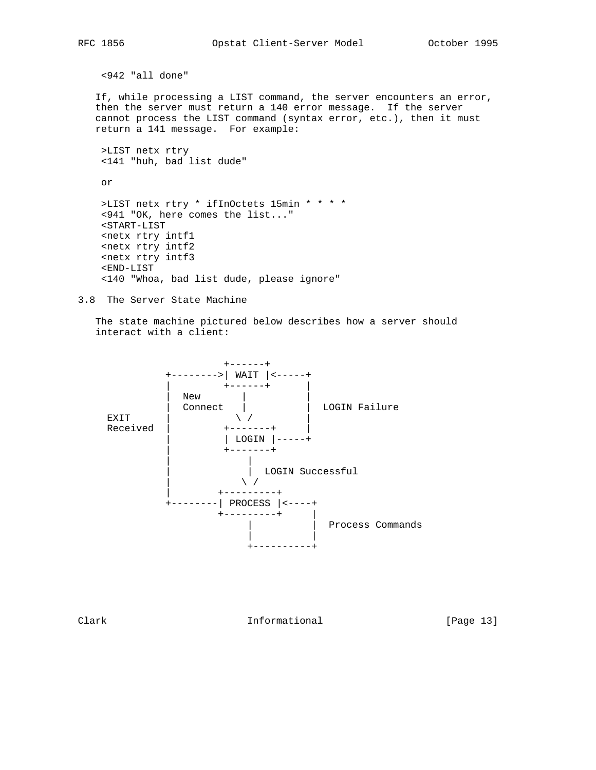```
 <942 "all done"
```
 If, while processing a LIST command, the server encounters an error, then the server must return a 140 error message. If the server cannot process the LIST command (syntax error, etc.), then it must return a 141 message. For example:

```
 >LIST netx rtry
 <141 "huh, bad list dude"
```
or

```
 >LIST netx rtry * ifInOctets 15min * * * *
 <941 "OK, here comes the list..."
<START-LIST
 <netx rtry intf1
 <netx rtry intf2
 <netx rtry intf3
 <END-LIST
 <140 "Whoa, bad list dude, please ignore"
```

```
3.8 The Server State Machine
```
 The state machine pictured below describes how a server should interact with a client:



Clark **Informational** [Page 13]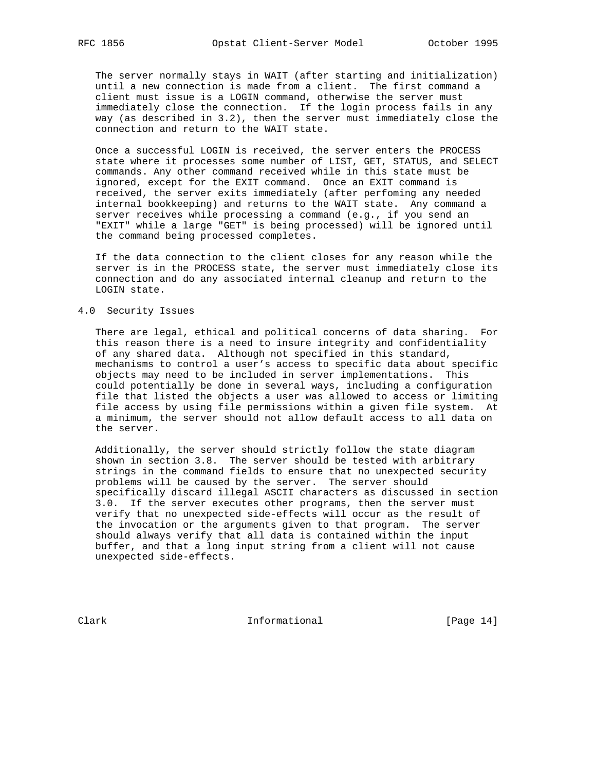The server normally stays in WAIT (after starting and initialization) until a new connection is made from a client. The first command a client must issue is a LOGIN command, otherwise the server must immediately close the connection. If the login process fails in any way (as described in 3.2), then the server must immediately close the connection and return to the WAIT state.

 Once a successful LOGIN is received, the server enters the PROCESS state where it processes some number of LIST, GET, STATUS, and SELECT commands. Any other command received while in this state must be ignored, except for the EXIT command. Once an EXIT command is received, the server exits immediately (after perfoming any needed internal bookkeeping) and returns to the WAIT state. Any command a server receives while processing a command (e.g., if you send an "EXIT" while a large "GET" is being processed) will be ignored until the command being processed completes.

 If the data connection to the client closes for any reason while the server is in the PROCESS state, the server must immediately close its connection and do any associated internal cleanup and return to the LOGIN state.

### 4.0 Security Issues

 There are legal, ethical and political concerns of data sharing. For this reason there is a need to insure integrity and confidentiality of any shared data. Although not specified in this standard, mechanisms to control a user's access to specific data about specific objects may need to be included in server implementations. This could potentially be done in several ways, including a configuration file that listed the objects a user was allowed to access or limiting file access by using file permissions within a given file system. At a minimum, the server should not allow default access to all data on the server.

 Additionally, the server should strictly follow the state diagram shown in section 3.8. The server should be tested with arbitrary strings in the command fields to ensure that no unexpected security problems will be caused by the server. The server should specifically discard illegal ASCII characters as discussed in section 3.0. If the server executes other programs, then the server must verify that no unexpected side-effects will occur as the result of the invocation or the arguments given to that program. The server should always verify that all data is contained within the input buffer, and that a long input string from a client will not cause unexpected side-effects.

Clark Informational [Page 14]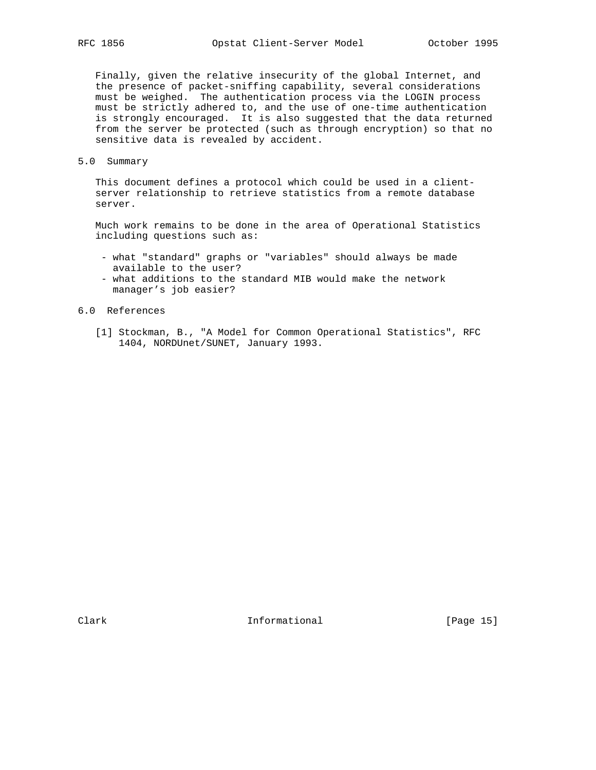Finally, given the relative insecurity of the global Internet, and the presence of packet-sniffing capability, several considerations must be weighed. The authentication process via the LOGIN process must be strictly adhered to, and the use of one-time authentication is strongly encouraged. It is also suggested that the data returned from the server be protected (such as through encryption) so that no sensitive data is revealed by accident.

5.0 Summary

 This document defines a protocol which could be used in a client server relationship to retrieve statistics from a remote database server.

 Much work remains to be done in the area of Operational Statistics including questions such as:

- what "standard" graphs or "variables" should always be made available to the user?
- what additions to the standard MIB would make the network manager's job easier?
- 6.0 References
	- [1] Stockman, B., "A Model for Common Operational Statistics", RFC 1404, NORDUnet/SUNET, January 1993.

Clark **Informational** [Page 15]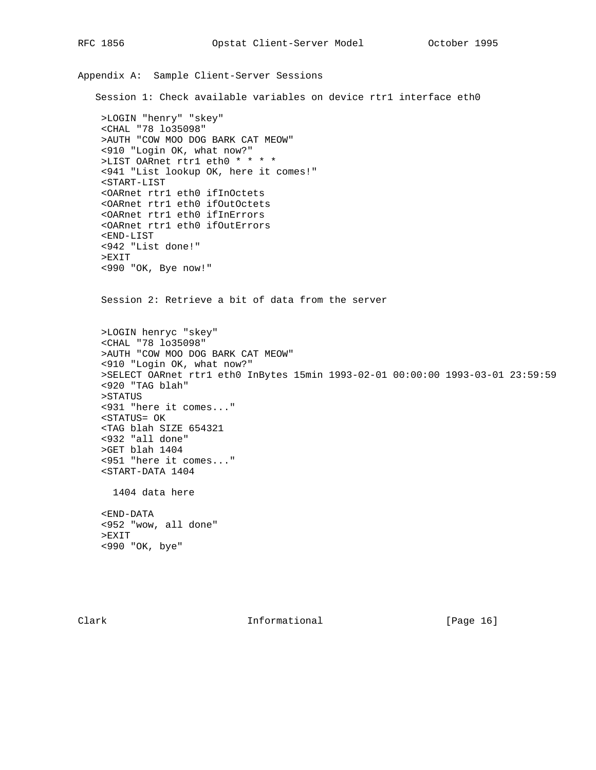```
Appendix A: Sample Client-Server Sessions
   Session 1: Check available variables on device rtr1 interface eth0
     >LOGIN "henry" "skey"
     <CHAL "78 lo35098"
     >AUTH "COW MOO DOG BARK CAT MEOW"
     <910 "Login OK, what now?"
     >LIST OARnet rtr1 eth0 * * * *
     <941 "List lookup OK, here it comes!"
    <START-LIST
     <OARnet rtr1 eth0 ifInOctets
     <OARnet rtr1 eth0 ifOutOctets
     <OARnet rtr1 eth0 ifInErrors
     <OARnet rtr1 eth0 ifOutErrors
     <END-LIST
     <942 "List done!"
     >EXIT
     <990 "OK, Bye now!"
     Session 2: Retrieve a bit of data from the server
     >LOGIN henryc "skey"
     <CHAL "78 lo35098"
     >AUTH "COW MOO DOG BARK CAT MEOW"
     <910 "Login OK, what now?"
     >SELECT OARnet rtr1 eth0 InBytes 15min 1993-02-01 00:00:00 1993-03-01 23:59:59
     <920 "TAG blah"
     >STATUS
     <931 "here it comes..."
     <STATUS= OK
     <TAG blah SIZE 654321
     <932 "all done"
     >GET blah 1404
     <951 "here it comes..."
     <START-DATA 1404
       1404 data here
     <END-DATA
     <952 "wow, all done"
     >EXIT
     <990 "OK, bye"
```
Clark **Informational** [Page 16]